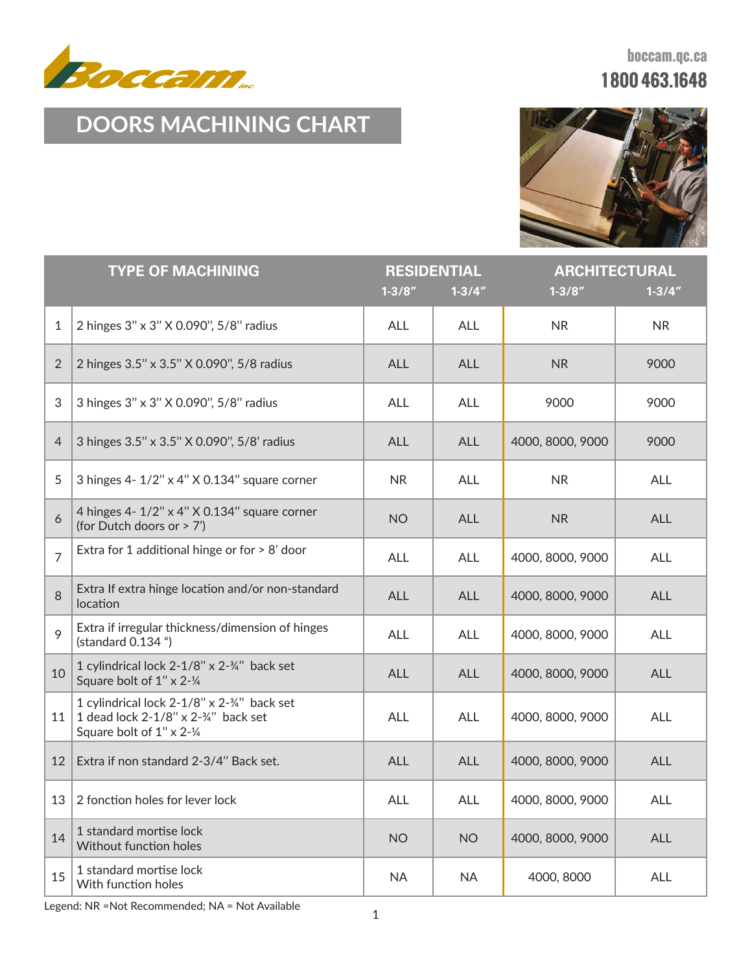

**boccam.qc.ca 1 800 463.1648**

## **DOORS MACHINING CHART**



| <b>TYPE OF MACHINING</b> |                                                                                                                | <b>RESIDENTIAL</b><br>$1 - 3/8"$<br>$1 - 3/4"$ |            | <b>ARCHITECTURAL</b><br>$1 - 3/8"$<br>$1 - 3/4"$ |            |
|--------------------------|----------------------------------------------------------------------------------------------------------------|------------------------------------------------|------------|--------------------------------------------------|------------|
| 1                        | 2 hinges 3" x 3" X 0.090", 5/8" radius                                                                         | <b>ALL</b>                                     | ALL        | <b>NR</b>                                        | <b>NR</b>  |
| $\overline{2}$           | 2 hinges 3.5" x 3.5" X 0.090", 5/8 radius                                                                      | <b>ALL</b>                                     | <b>ALL</b> | <b>NR</b>                                        | 9000       |
| 3                        | 3 hinges 3" x 3" X 0.090", 5/8" radius                                                                         | <b>ALL</b>                                     | ALL        | 9000                                             | 9000       |
| $\overline{4}$           | 3 hinges 3.5" x 3.5" X 0.090", 5/8' radius                                                                     | <b>ALL</b>                                     | <b>ALL</b> | 4000, 8000, 9000                                 | 9000       |
| 5                        | 3 hinges 4- 1/2" x 4" X 0.134" square corner                                                                   | <b>NR</b>                                      | <b>ALL</b> | <b>NR</b>                                        | ALL        |
| 6                        | 4 hinges 4- 1/2" x 4" X 0.134" square corner<br>(for Dutch doors or > 7')                                      | <b>NO</b>                                      | <b>ALL</b> | <b>NR</b>                                        | ALL        |
| $\overline{7}$           | Extra for 1 additional hinge or for $> 8'$ door                                                                | <b>ALL</b>                                     | ALL        | 4000, 8000, 9000                                 | ALL        |
| 8                        | Extra If extra hinge location and/or non-standard<br>location                                                  | <b>ALL</b>                                     | <b>ALL</b> | 4000, 8000, 9000                                 | <b>ALL</b> |
| 9                        | Extra if irregular thickness/dimension of hinges<br>(standard 0.134 ")                                         | <b>ALL</b>                                     | ALL        | 4000, 8000, 9000                                 | ALL        |
| 10                       | 1 cylindrical lock 2-1/8" x 2-3/4" back set<br>Square bolt of 1" x 2-1/4                                       | <b>ALL</b>                                     | <b>ALL</b> | 4000, 8000, 9000                                 | <b>ALL</b> |
| 11                       | 1 cylindrical lock 2-1/8" x 2-34" back set<br>1 dead lock 2-1/8" x 2-34" back set<br>Square bolt of 1" x 2-1/4 | <b>ALL</b>                                     | ALL        | 4000, 8000, 9000                                 | <b>ALL</b> |
| 12                       | Extra if non standard 2-3/4" Back set.                                                                         | <b>ALL</b>                                     | <b>ALL</b> | 4000, 8000, 9000                                 | ALL        |
|                          | 13   2 fonction holes for lever lock                                                                           | <b>ALL</b>                                     | <b>ALL</b> | 4000, 8000, 9000                                 | <b>ALL</b> |
| 14                       | 1 standard mortise lock<br>Without function holes                                                              | <b>NO</b>                                      | <b>NO</b>  | 4000, 8000, 9000                                 | <b>ALL</b> |
| 15                       | 1 standard mortise lock<br>With function holes                                                                 | <b>NA</b>                                      | <b>NA</b>  | 4000, 8000                                       | <b>ALL</b> |

Legend: NR =Not Recommended; NA = Not Available